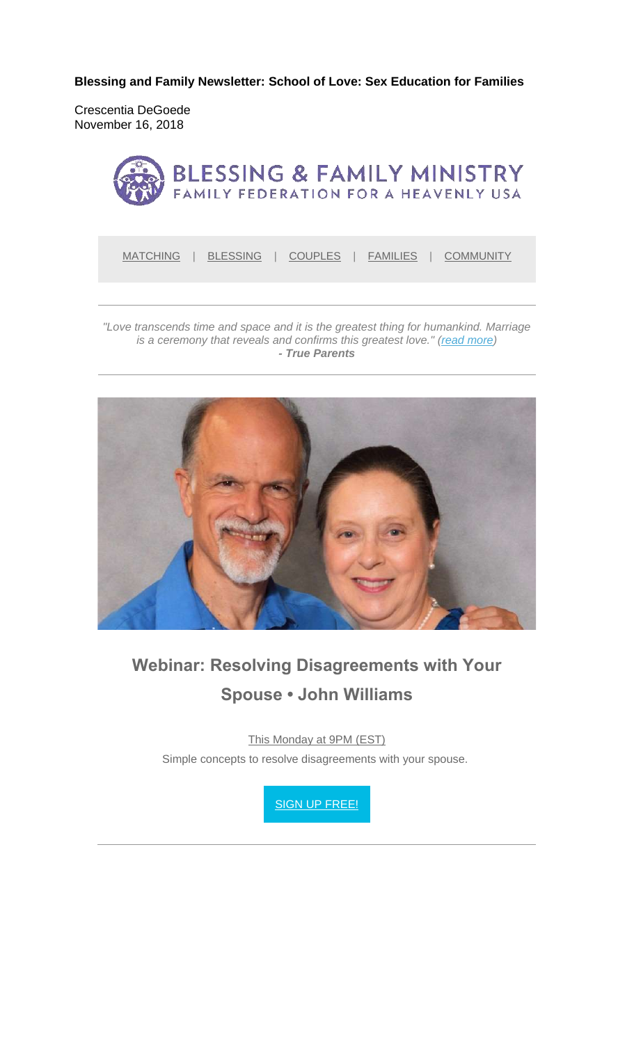**Blessing and Family Newsletter: School of Love: Sex Education for Families** 

Crescentia DeGoede November 16, 2018



MATCHING | BLESSING | COUPLES | FAMILIES | COMMUNITY

*"Love transcends time and space and it is the greatest thing for humankind. Marriage is a ceremony that reveals and confirms this greatest love." (read more) - True Parents*



# **Webinar: Resolving Disagreements with Your Spouse • John Williams**

This Monday at 9PM (EST)

Simple concepts to resolve disagreements with your spouse.

SIGN UP FREE!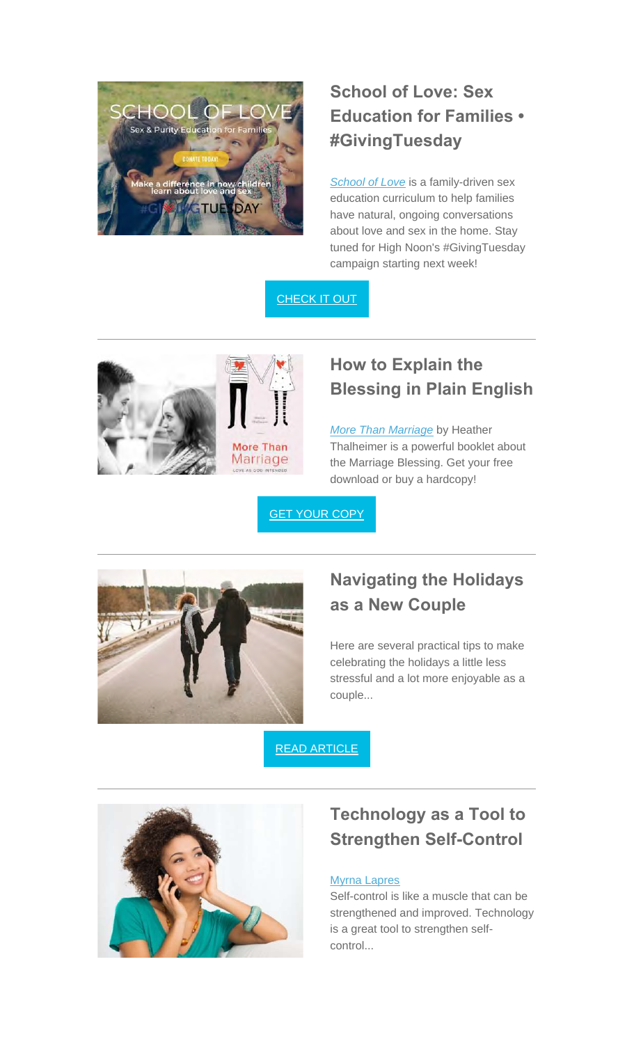

# **School of Love: Sex Education for Families • #GivingTuesday**

*School of Love* is a family-driven sex education curriculum to help families have natural, ongoing conversations about love and sex in the home. Stay tuned for High Noon's #GivingTuesday campaign starting next week!

#### CHECK IT OUT





## **How to Explain the Blessing in Plain English**

*More Than Marriage* by Heather Thalheimer is a powerful booklet about the Marriage Blessing. Get your free download or buy a hardcopy!

GET YOUR COPY



## **Navigating the Holidays as a New Couple**

Here are several practical tips to make celebrating the holidays a little less stressful and a lot more enjoyable as a couple...

#### READ ARTICLE



## **Technology as a Tool to Strengthen Self-Control**

#### Myrna Lapres

Self-control is like a muscle that can be strengthened and improved. Technology is a great tool to strengthen selfcontrol...